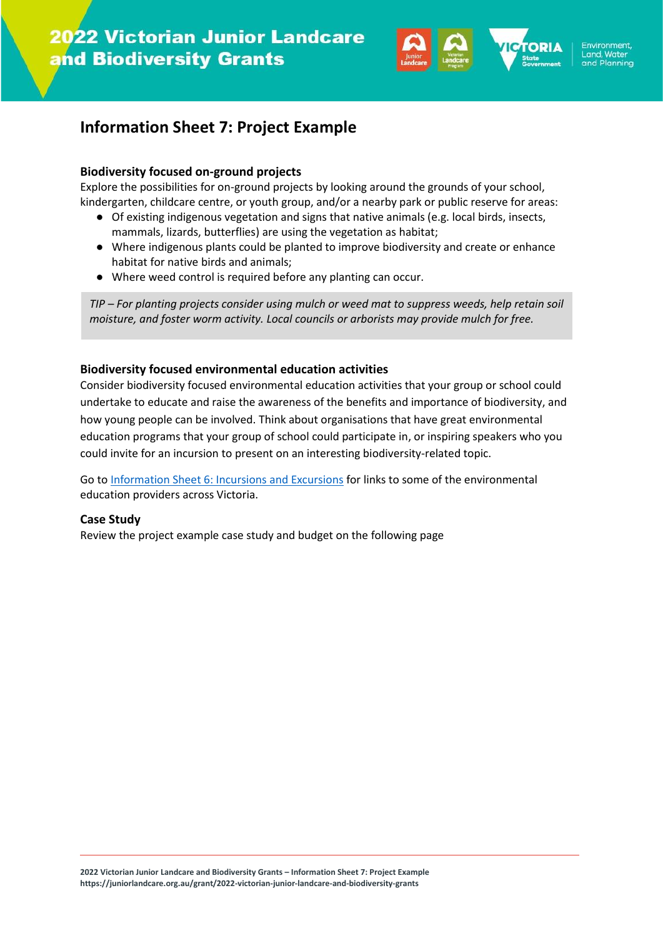

# **Information Sheet 7: Project Example**

#### **Biodiversity focused on-ground projects**

Explore the possibilities for on-ground projects by looking around the grounds of your school, kindergarten, childcare centre, or youth group, and/or a nearby park or public reserve for areas:

- Of existing indigenous vegetation and signs that native animals (e.g. local birds, insects, mammals, lizards, butterflies) are using the vegetation as habitat;
- Where indigenous plants could be planted to improve biodiversity and create or enhance habitat for native birds and animals;
- Where weed control is required before any planting can occur.

*TIP – For planting projects consider using mulch or weed mat to suppress weeds, help retain soil moisture, and foster worm activity. Local councils or arborists may provide mulch for free.*

#### **Biodiversity focused environmental education activities**

Consider biodiversity focused environmental education activities that your group or school could undertake to educate and raise the awareness of the benefits and importance of biodiversity, and how young people can be involved. Think about organisations that have great environmental education programs that your group of school could participate in, or inspiring speakers who you could invite for an incursion to present on an interesting biodiversity-related topic.

Go to [Information Sheet 6: Incursions and Excursions](http://juniorlandcare.org.au/wp-content/uploads/2022/06/Information-Sheet-6-Incursions-and-Excursions.pdf) for links to some of the environmental education providers across Victoria.

## **Case Study**

Review the project example case study and budget on the following page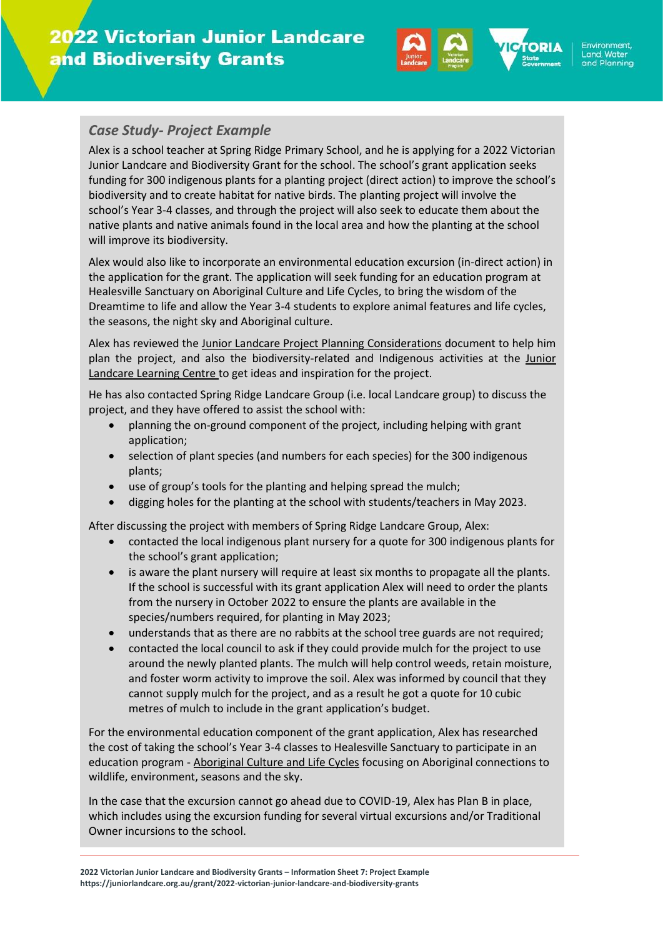

### *Case Study- Project Example*

Alex is a school teacher at Spring Ridge Primary School, and he is applying for a 2022 Victorian Junior Landcare and Biodiversity Grant for the school. The school's grant application seeks funding for 300 indigenous plants for a planting project (direct action) to improve the school's biodiversity and to create habitat for native birds. The planting project will involve the school's Year 3-4 classes, and through the project will also seek to educate them about the native plants and native animals found in the local area and how the planting at the school will improve its biodiversity.

Alex would also like to incorporate an environmental education excursion (in-direct action) in the application for the grant. The application will seek funding for an education program at Healesville Sanctuary on Aboriginal Culture and Life Cycles, to bring the wisdom of the Dreamtime to life and allow the Year 3-4 students to explore animal features and life cycles, the seasons, the night sky and Aboriginal culture.

Alex has reviewed the [Junior Landcare Project Planning Considerations](https://juniorlandcare.org.au/wp-content/uploads/2020/09/Landcare_PlanningYourProject_03.pdf) document to help him plan the project, and also the biodiversity-related and Indigenous activities at the Junior [Landcare Learning Centre](https://juniorlandcare.org.au/learningcentre/) to get ideas and inspiration for the project.

He has also contacted Spring Ridge Landcare Group (i.e. local Landcare group) to discuss the project, and they have offered to assist the school with:

- planning the on-ground component of the project, including helping with grant application;
- selection of plant species (and numbers for each species) for the 300 indigenous plants;
- use of group's tools for the planting and helping spread the mulch;
- digging holes for the planting at the school with students/teachers in May 2023.

After discussing the project with members of Spring Ridge Landcare Group, Alex:

- contacted the local indigenous plant nursery for a quote for 300 indigenous plants for the school's grant application;
- is aware the plant nursery will require at least six months to propagate all the plants. If the school is successful with its grant application Alex will need to order the plants from the nursery in October 2022 to ensure the plants are available in the species/numbers required, for planting in May 2023;
- understands that as there are no rabbits at the school tree guards are not required;
- contacted the local council to ask if they could provide mulch for the project to use around the newly planted plants. The mulch will help control weeds, retain moisture, and foster worm activity to improve the soil. Alex was informed by council that they cannot supply mulch for the project, and as a result he got a quote for 10 cubic metres of mulch to include in the grant application's budget.

For the environmental education component of the grant application, Alex has researched the cost of taking the school's Year 3-4 classes to Healesville Sanctuary to participate in an education program - [Aboriginal Culture and Life Cycles](https://www.zoo.org.au/education/excursion-programs/aboriginal-culture-and-life-cycles-3-4/) focusing on Aboriginal connections to wildlife, environment, seasons and the sky.

In the case that the excursion cannot go ahead due to COVID-19, Alex has Plan B in place, which includes using the excursion funding for several virtual excursions and/or Traditional Owner incursions to the school.